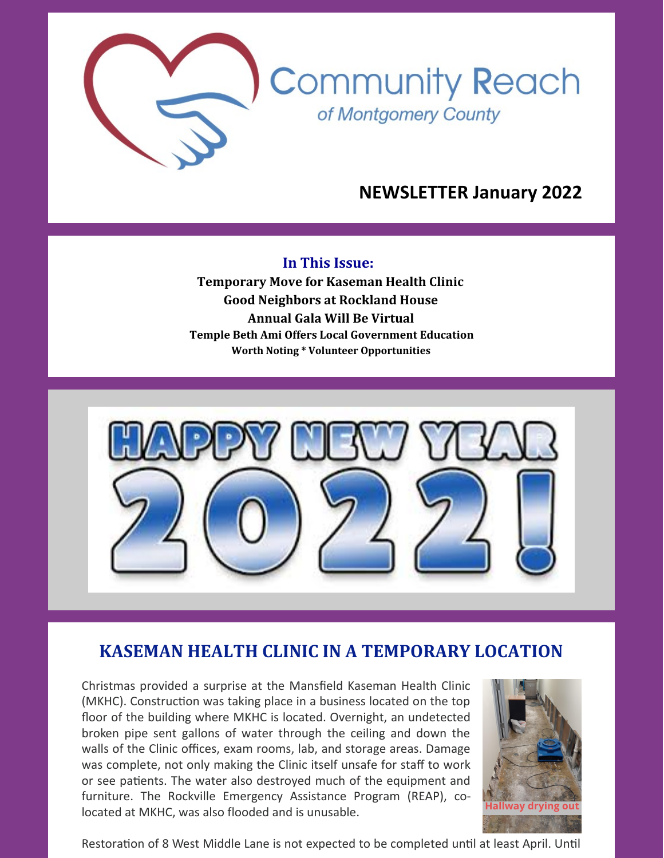

# **NEWSLETTER January 2022**

### **In This Issue:**

**Temporary Move for Kaseman Health Clinic Good Neighbors at Rockland House Annual Gala Will Be Virtual Temple Beth Ami Offers Local Government Education Worth Noting \* Volunteer Opportunities**



# **KASEMAN HEALTH CLINIC IN A TEMPORARY LOCATION**

Christmas provided a surprise at the Mansfield Kaseman Health Clinic (MKHC). Construction was taking place in a business located on the top floor of the building where MKHC is located. Overnight, an undetected broken pipe sent gallons of water through the ceiling and down the walls of the Clinic offices, exam rooms, lab, and storage areas. Damage was complete, not only making the Clinic itself unsafe for staff to work or see patients. The water also destroyed much of the equipment and furniture. The Rockville Emergency Assistance Program (REAP), colocated at MKHC, was also flooded and is unusable.



Restoration of 8 West Middle Lane is not expected to be completed until at least April. Until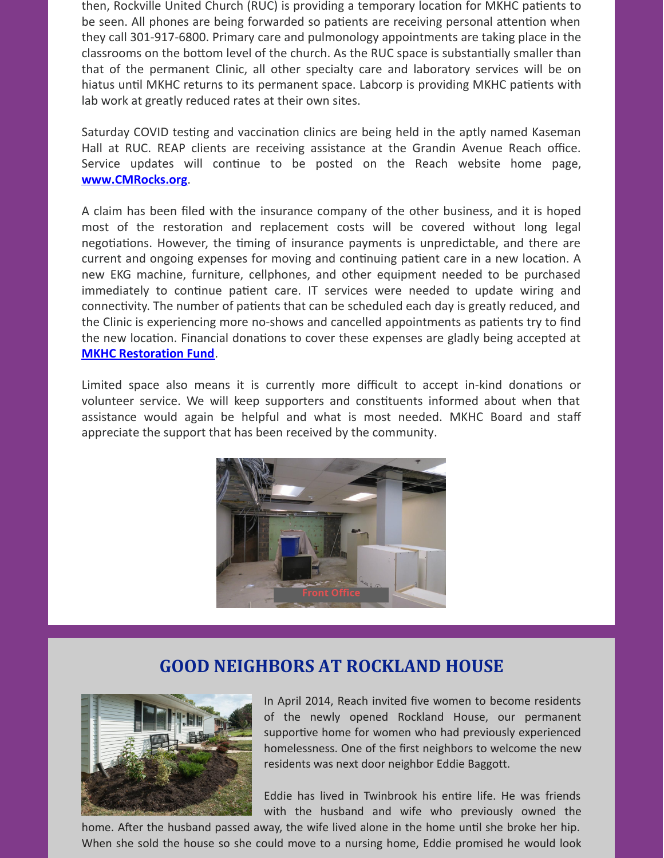then, Rockville United Church (RUC) is providing a temporary location for MKHC patients to be seen. All phones are being forwarded so patients are receiving personal attention when they call 301-917-6800. Primary care and pulmonology appointments are taking place in the classrooms on the bottom level of the church. As the RUC space is substantially smaller than that of the permanent Clinic, all other specialty care and laboratory services will be on hiatus until MKHC returns to its permanent space. Labcorp is providing MKHC patients with lab work at greatly reduced rates at their own sites.

Saturday COVID testing and vaccination clinics are being held in the aptly named Kaseman Hall at RUC. REAP clients are receiving assistance at the Grandin Avenue Reach office. Service updates will continue to be posted on the Reach website home page, **[www.CMRocks.org](https://www.cmrocks.org/)**.

A claim has been filed with the insurance company of the other business, and it is hoped most of the restoration and replacement costs will be covered without long legal negotiations. However, the timing of insurance payments is unpredictable, and there are current and ongoing expenses for moving and continuing patient care in a new location. A new EKG machine, furniture, cellphones, and other equipment needed to be purchased immediately to continue patient care. IT services were needed to update wiring and connectivity. The number of patients that can be scheduled each day is greatly reduced, and the Clinic is experiencing more no-shows and cancelled appointments as patients try to find the new location. Financial donations to cover these expenses are gladly being accepted at **MKHC [Restoration](https://www.paypal.com/donate/?hosted_button_id=CHP2958BMS6JU) Fund**.

Limited space also means it is currently more difficult to accept in-kind donations or volunteer service. We will keep supporters and constituents informed about when that assistance would again be helpful and what is most needed. MKHC Board and staff appreciate the support that has been received by the community.



## **GOOD NEIGHBORS AT ROCKLAND HOUSE**



In April 2014, Reach invited five women to become residents of the newly opened Rockland House, our permanent supportive home for women who had previously experienced homelessness. One of the first neighbors to welcome the new residents was next door neighbor Eddie Baggott.

Eddie has lived in Twinbrook his entire life. He was friends with the husband and wife who previously owned the

home. After the husband passed away, the wife lived alone in the home until she broke her hip. When she sold the house so she could move to a nursing home, Eddie promised he would look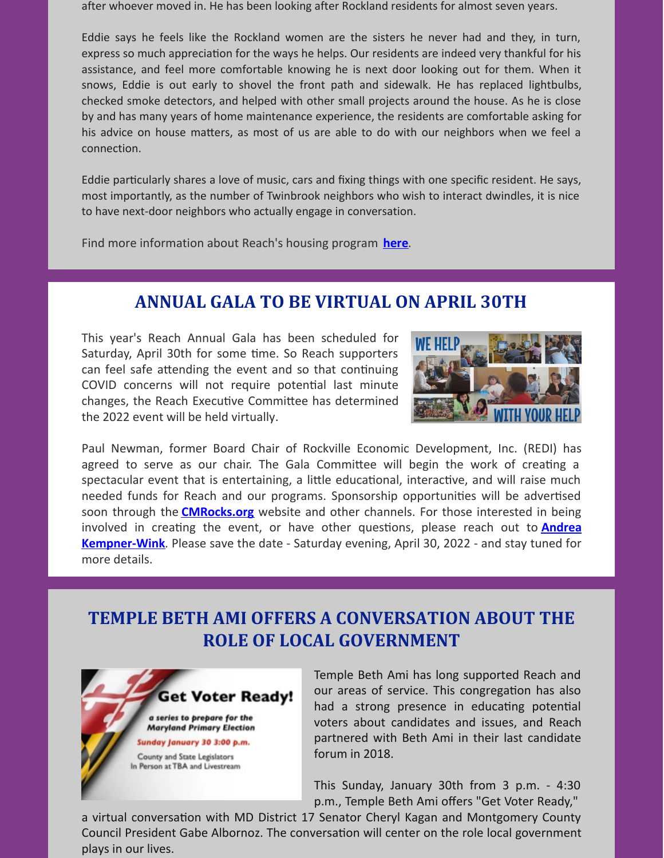after whoever moved in. He has been looking after Rockland residents for almost seven years.

Eddie says he feels like the Rockland women are the sisters he never had and they, in turn, express so much appreciation for the ways he helps. Our residents are indeed very thankful for his assistance, and feel more comfortable knowing he is next door looking out for them. When it snows, Eddie is out early to shovel the front path and sidewalk. He has replaced lightbulbs, checked smoke detectors, and helped with other small projects around the house. As he is close by and has many years of home maintenance experience, the residents are comfortable asking for his advice on house matters, as most of us are able to do with our neighbors when we feel a connection.

Eddie particularly shares a love of music, cars and fixing things with one specific resident. He says, most importantly, as the number of Twinbrook neighbors who wish to interact dwindles, it is nice to have next-door neighbors who actually engage in conversation.

Find more information about Reach's housing program **[here](https://www.cmrocks.org/housing-program)**.

# **ANNUAL GALA TO BE VIRTUAL ON APRIL 30TH**

This year's Reach Annual Gala has been scheduled for Saturday, April 30th for some time. So Reach supporters can feel safe attending the event and so that continuing COVID concerns will not require potential last minute changes, the Reach Executive Committee has determined the 2022 event will be held virtually.



Paul Newman, former Board Chair of Rockville Economic Development, Inc. (REDI) has agreed to serve as our chair. The Gala Committee will begin the work of creating a spectacular event that is entertaining, a little educational, interactive, and will raise much needed funds for Reach and our programs. Sponsorship opportunities will be advertised soon through the **[CMRocks.org](https://www.cmrocks.org/)** website and other channels. For those interested in being involved in creating the event, or have other questions, please reach out to **Andrea [Kempner-Wink](mailto:andreakwink@cmrocks.org)**. Please save the date - Saturday evening, April 30, 2022 - and stay tuned for more details.

## **TEMPLE BETH AMI OFFERS A CONVERSATION ABOUT THE ROLE OF LOCAL GOVERNMENT**



Temple Beth Ami has long supported Reach and our areas of service. This congregation has also had a strong presence in educating potential voters about candidates and issues, and Reach partnered with Beth Ami in their last candidate forum in 2018.

This Sunday, January 30th from 3 p.m. - 4:30 p.m., Temple Beth Ami offers "Get Voter Ready,"

a virtual conversation with MD District 17 Senator Cheryl Kagan and Montgomery County Council President Gabe Albornoz. The conversation will center on the role local government plays in our lives.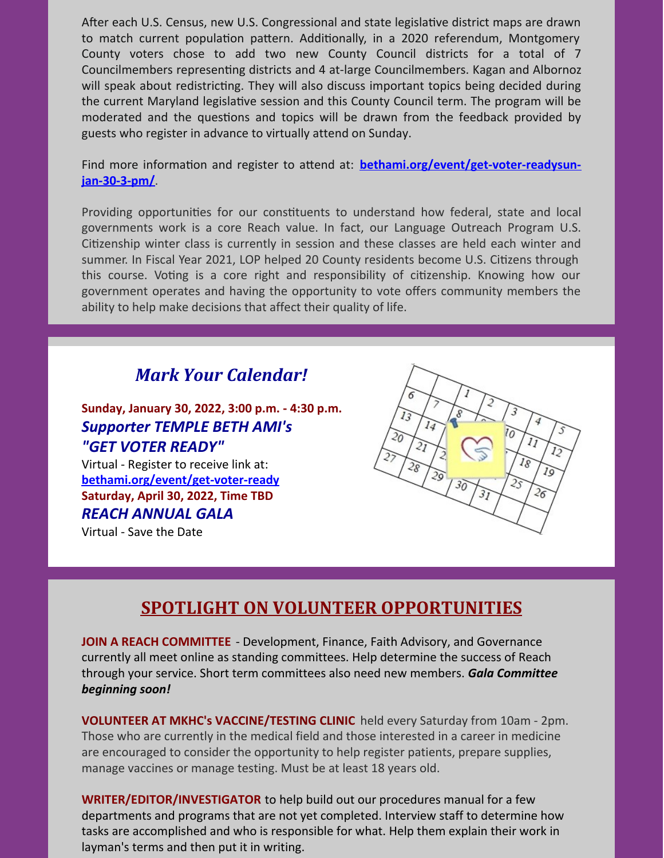After each U.S. Census, new U.S. Congressional and state legislative district maps are drawn to match current population pattern. Additionally, in a 2020 referendum, Montgomery County voters chose to add two new County Council districts for a total of 7 Councilmembers representing districts and 4 at-large Councilmembers. Kagan and Albornoz will speak about redistricting. They will also discuss important topics being decided during the current Maryland legislative session and this County Council term. The program will be moderated and the questions and topics will be drawn from the feedback provided by guests who register in advance to virtually attend on Sunday.

Find more information and register to attend at: **[bethami.org/event/get-voter-readysun](https://bethami.org/event/get-voter-readysun-jan-30-3-pm/)jan-30-3-pm/**.

Providing opportunities for our constituents to understand how federal, state and local governments work is a core Reach value. In fact, our Language Outreach Program U.S. Citizenship winter class is currently in session and these classes are held each winter and summer. In Fiscal Year 2021, LOP helped 20 County residents become U.S. Citizens through this course. Voting is a core right and responsibility of citizenship. Knowing how our government operates and having the opportunity to vote offers community members the ability to help make decisions that affect their quality of life.

## *Mark Your Calendar!*

**Sunday, January 30, 2022, 3:00 p.m. - 4:30 p.m.** *Supporter TEMPLE BETH AMI's "GET VOTER READY"*

Virtual - Register to receive link at: **[bethami.org/event/get-voter-ready](https://bethami.org/event/get-voter-readysun-jan-30-3-pm/) Saturday, April 30, 2022, Time TBD** *REACH ANNUAL GALA*

Virtual - Save the Date



## **SPOTLIGHT ON VOLUNTEER OPPORTUNITIES**

**JOIN A REACH COMMITTEE** - Development, Finance, Faith Advisory, and Governance currently all meet online as standing committees. Help determine the success of Reach through your service. Short term committees also need new members. *Gala Committee beginning soon!*

**VOLUNTEER AT MKHC's VACCINE/TESTING CLINIC** held every Saturday from 10am - 2pm. Those who are currently in the medical field and those interested in a career in medicine are encouraged to consider the opportunity to help register patients, prepare supplies, manage vaccines or manage testing. Must be at least 18 years old.

**WRITER/EDITOR/INVESTIGATOR** to help build out our procedures manual for a few departments and programs that are not yet completed. Interview staff to determine how tasks are accomplished and who is responsible for what. Help them explain their work in layman's terms and then put it in writing.